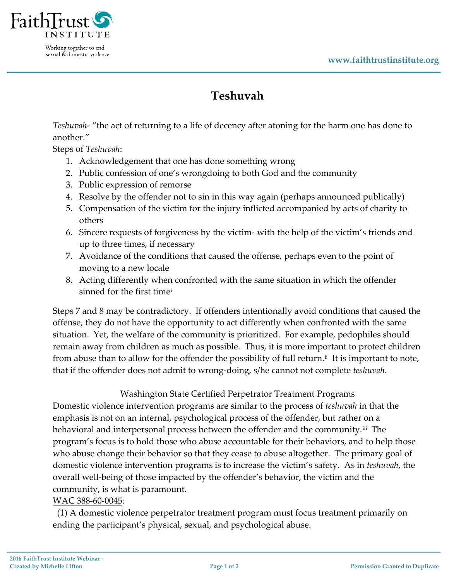

Working together to end sexual & domestic violence

## **Teshuvah**

*Teshuvah*- "the act of returning to a life of decency after atoning for the harm one has done to another."

Steps of *Teshuvah*:

- 1. Acknowledgement that one has done something wrong
- 2. Public confession of one's wrongdoing to both God and the community
- 3. Public expression of remorse
- 4. Resolve by the offender not to sin in this way again (perhaps announced publically)
- 5. Compensation of the victim for the injury inflicted accompanied by acts of charity to others
- 6. Sincere requests of forgiveness by the victim- with the help of the victim's friends and up to three times, if necessary
- 7. Avoidance of the conditions that caused the offense, perhaps even to the point of moving to a new locale
- 8. Acting differently when confronted with the same situation in which the offender sinned for the first time[i](#page-1-0)

Steps 7 and 8 may be contradictory. If offenders intentionally avoid conditions that caused the offense, they do not have the opportunity to act differently when confronted with the same situation. Yet, the welfare of the community is prioritized. For example, pedophiles should remain away from children as much as possible. Thus, it is more important to protect children from abuse than to allow for the offender the possibility of full return.<sup>[ii](#page-1-1)</sup> It is important to note, that if the offender does not admit to wrong-doing, s/he cannot not complete *teshuvah*.

## Washington State Certified Perpetrator Treatment Programs

Domestic violence intervention programs are similar to the process of *teshuvah* in that the emphasis is not on an internal, psychological process of the offender, but rather on a behavioral and interpersonal process between the offender and the community.<sup>iii</sup> The program's focus is to hold those who abuse accountable for their behaviors, and to help those who abuse change their behavior so that they cease to abuse altogether. The primary goal of domestic violence intervention programs is to increase the victim's safety. As in *teshuvah*, the overall well-being of those impacted by the offender's behavior, the victim and the community, is what is paramount.

## WAC 388-60-0045:

 (1) A domestic violence perpetrator treatment program must focus treatment primarily on ending the participant's physical, sexual, and psychological abuse.